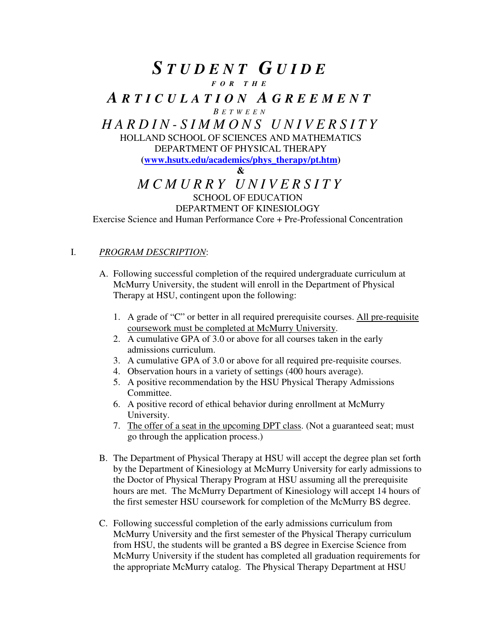# *S T U D E N T G U I D E F O R T H E A R T I C U L A T I O N A G R E E M E N T B E T W E E N H A R D I N - S I M M O N S U N I V E R S I T Y*  HOLLAND SCHOOL OF SCIENCES AND MATHEMATICS DEPARTMENT OF PHYSICAL THERAPY **(www.hsutx.edu/academics/phys\_therapy/pt.htm) &**  *M C M U R R Y U N I V E R S I T Y*  SCHOOL OF EDUCATION

### DEPARTMENT OF KINESIOLOGY

Exercise Science and Human Performance Core + Pre-Professional Concentration

#### I. *PROGRAM DESCRIPTION*:

- A. Following successful completion of the required undergraduate curriculum at McMurry University, the student will enroll in the Department of Physical Therapy at HSU, contingent upon the following:
	- 1. A grade of "C" or better in all required prerequisite courses. All pre-requisite coursework must be completed at McMurry University.
	- 2. A cumulative GPA of 3.0 or above for all courses taken in the early admissions curriculum.
	- 3. A cumulative GPA of 3.0 or above for all required pre-requisite courses.
	- 4. Observation hours in a variety of settings (400 hours average).
	- 5. A positive recommendation by the HSU Physical Therapy Admissions Committee.
	- 6. A positive record of ethical behavior during enrollment at McMurry University.
	- 7. The offer of a seat in the upcoming DPT class. (Not a guaranteed seat; must go through the application process.)
- B. The Department of Physical Therapy at HSU will accept the degree plan set forth by the Department of Kinesiology at McMurry University for early admissions to the Doctor of Physical Therapy Program at HSU assuming all the prerequisite hours are met. The McMurry Department of Kinesiology will accept 14 hours of the first semester HSU coursework for completion of the McMurry BS degree.
- C. Following successful completion of the early admissions curriculum from McMurry University and the first semester of the Physical Therapy curriculum from HSU, the students will be granted a BS degree in Exercise Science from McMurry University if the student has completed all graduation requirements for the appropriate McMurry catalog. The Physical Therapy Department at HSU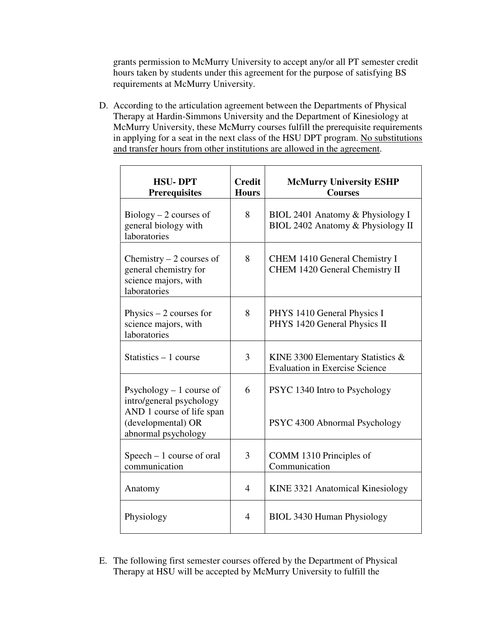grants permission to McMurry University to accept any/or all PT semester credit hours taken by students under this agreement for the purpose of satisfying BS requirements at McMurry University.

D. According to the articulation agreement between the Departments of Physical Therapy at Hardin-Simmons University and the Department of Kinesiology at McMurry University, these McMurry courses fulfill the prerequisite requirements in applying for a seat in the next class of the HSU DPT program. No substitutions and transfer hours from other institutions are allowed in the agreement.

| <b>HSU-DPT</b><br><b>Prerequisites</b>                                                                                          | <b>Credit</b><br><b>Hours</b> | <b>McMurry University ESHP</b><br><b>Courses</b>                              |
|---------------------------------------------------------------------------------------------------------------------------------|-------------------------------|-------------------------------------------------------------------------------|
| $Biology - 2 courses of$<br>general biology with<br>laboratories                                                                | 8                             | BIOL 2401 Anatomy & Physiology I<br>BIOL 2402 Anatomy & Physiology II         |
| Chemistry $-2$ courses of<br>general chemistry for<br>science majors, with<br>laboratories                                      | 8                             | <b>CHEM 1410 General Chemistry I</b><br>CHEM 1420 General Chemistry II        |
| Physics $-2$ courses for<br>science majors, with<br>laboratories                                                                | 8                             | PHYS 1410 General Physics I<br>PHYS 1420 General Physics II                   |
| Statistics $-1$ course                                                                                                          | 3                             | KINE 3300 Elementary Statistics $\&$<br><b>Evaluation in Exercise Science</b> |
| Psychology $-1$ course of<br>intro/general psychology<br>AND 1 course of life span<br>(developmental) OR<br>abnormal psychology | 6                             | PSYC 1340 Intro to Psychology<br>PSYC 4300 Abnormal Psychology                |
| Speech $-1$ course of oral<br>communication                                                                                     | 3                             | COMM 1310 Principles of<br>Communication                                      |
| Anatomy                                                                                                                         | $\overline{4}$                | KINE 3321 Anatomical Kinesiology                                              |
| Physiology                                                                                                                      | $\overline{4}$                | BIOL 3430 Human Physiology                                                    |

E. The following first semester courses offered by the Department of Physical Therapy at HSU will be accepted by McMurry University to fulfill the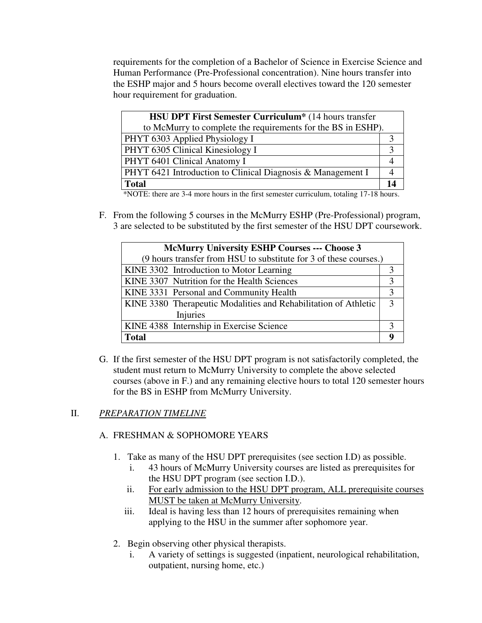requirements for the completion of a Bachelor of Science in Exercise Science and Human Performance (Pre-Professional concentration). Nine hours transfer into the ESHP major and 5 hours become overall electives toward the 120 semester hour requirement for graduation.

| <b>HSU DPT First Semester Curriculum*</b> (14 hours transfer |    |  |
|--------------------------------------------------------------|----|--|
| to McMurry to complete the requirements for the BS in ESHP). |    |  |
| PHYT 6303 Applied Physiology I                               |    |  |
| PHYT 6305 Clinical Kinesiology I                             |    |  |
| PHYT 6401 Clinical Anatomy I                                 |    |  |
| PHYT 6421 Introduction to Clinical Diagnosis & Management I  |    |  |
| <b>Total</b>                                                 | 14 |  |

\*NOTE: there are 3-4 more hours in the first semester curriculum, totaling 17-18 hours.

F. From the following 5 courses in the McMurry ESHP (Pre-Professional) program, 3 are selected to be substituted by the first semester of the HSU DPT coursework.

| <b>McMurry University ESHP Courses --- Choose 3</b>               |  |  |  |
|-------------------------------------------------------------------|--|--|--|
| (9 hours transfer from HSU to substitute for 3 of these courses.) |  |  |  |
| KINE 3302 Introduction to Motor Learning                          |  |  |  |
| KINE 3307 Nutrition for the Health Sciences                       |  |  |  |
| KINE 3331 Personal and Community Health                           |  |  |  |
| KINE 3380 Therapeutic Modalities and Rehabilitation of Athletic   |  |  |  |
| <b>Injuries</b>                                                   |  |  |  |
| KINE 4388 Internship in Exercise Science                          |  |  |  |
| <b>Total</b>                                                      |  |  |  |

G. If the first semester of the HSU DPT program is not satisfactorily completed, the student must return to McMurry University to complete the above selected courses (above in F.) and any remaining elective hours to total 120 semester hours for the BS in ESHP from McMurry University.

### II. *PREPARATION TIMELINE*

### A. FRESHMAN & SOPHOMORE YEARS

- 1. Take as many of the HSU DPT prerequisites (see section I.D) as possible.
	- i. 43 hours of McMurry University courses are listed as prerequisites for the HSU DPT program (see section I.D.).
	- ii. For early admission to the HSU DPT program, ALL prerequisite courses MUST be taken at McMurry University.
	- iii. Ideal is having less than 12 hours of prerequisites remaining when applying to the HSU in the summer after sophomore year.
- 2. Begin observing other physical therapists.
	- A variety of settings is suggested (inpatient, neurological rehabilitation, outpatient, nursing home, etc.)